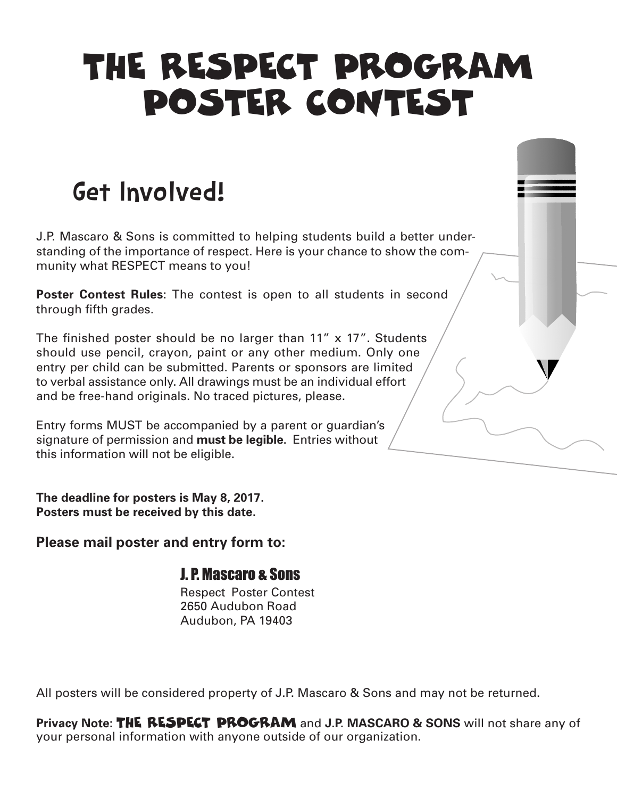# THE RESPECT PROGRAM POSTER CONTEST

### Get Involved!

J.P. Mascaro & Sons is committed to helping students build a better understanding of the importance of respect. Here is your chance to show the community what RESPECT means to you!

**Poster Contest Rules:** The contest is open to all students in second through fifth grades.

The finished poster should be no larger than  $11''$  x  $17''$ . Students should use pencil, crayon, paint or any other medium. Only one entry per child can be submitted. Parents or sponsors are limited to verbal assistance only. All drawings must be an individual effort and be free-hand originals. No traced pictures, please.

Entry forms MUST be accompanied by a parent or guardian's signature of permission and **must be legible**. Entries without this information will not be eligible.

**The deadline for posters is May 8, 2017. Posters must be received by this date.**

**Please mail poster and entry form to:**

### J. P. Mascaro & Sons

 Respect Poster Contest 2650 Audubon Road Audubon, PA 19403

All posters will be considered property of J.P. Mascaro & Sons and may not be returned.

**Privacy Note:** THE RESPECT PROGRAM and **J.P. MASCARO & SONS** will not share any of your personal information with anyone outside of our organization.